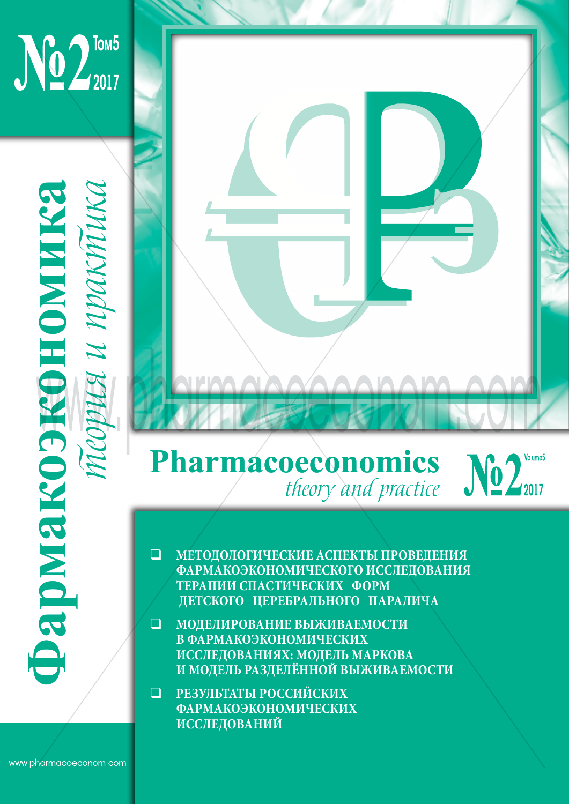

## **Pharmacoeconomics** theory and practice



- $\Box$  МЕТОДОЛОГИЧЕСКИЕ АСПЕКТЫ ПРОВЕДЕНИЯ **ЭФФЕКТИВНОСТИ МЕДИЦИНСКИХ ФАРМАКОЭКОНОМИЧЕСКОГО ИССЛЕДОВАНИЯ ТЕРАПИИ СПАСТИЧЕСКИХ ФОРМ** ДЕТСКОГО ЦЕРЕБРАЛЬНОГО ПАРАЛИЧА
- **ИССЛЕДОВАНИЯХ: МОДЕЛЬ МАРКОВА Проследования** И МОДЕЛЬ РАЗДЕЛЁННОЙ ВЫЖИВАЕМОСТИ **МОДЕЛИРОВАНИЕ ВЫЖИВАЕМОСТИ В ФАРМАКОЭКОНОМИЧЕСКИХ**
- **И РЕЗУЛЬТАТЫ РОССИЙСКИХ ФЕДЕРАЦИИ» – «ФАРМАКОЭКОНОМИКА – 2015» ФАРМАКОЭКОНОМИЧЕСКИХ 16-17 МАРТА 2015 Г., УФА, AZIMUT ОТЕЛЬ УФА ИССЛЕДОВАНИЙ**

**Фармакоэкономика** теория и практика

**ФАРМОКОЗКОЗКОЛОМИКА**